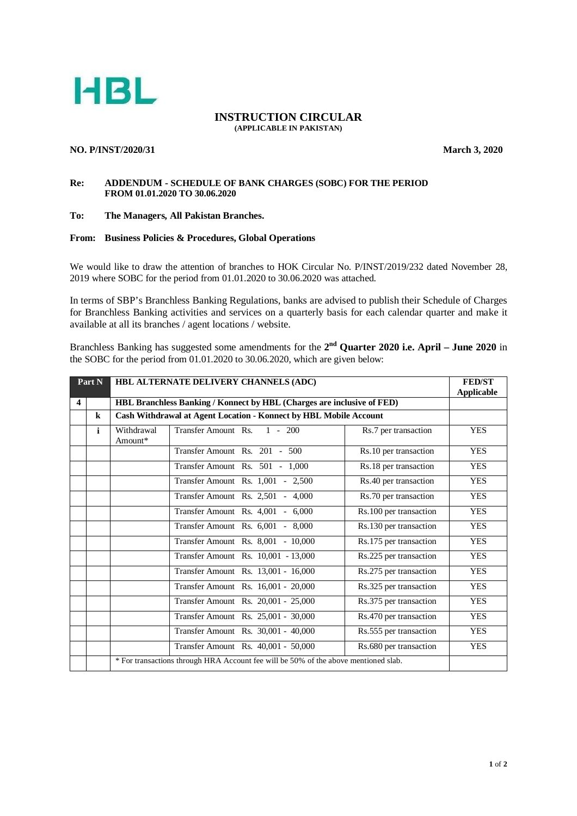

#### **INSTRUCTION CIRCULAR (APPLICABLE IN PAKISTAN)**

### **NO. P/INST/2020/31 March 3, 2020**

### **Re: ADDENDUM - SCHEDULE OF BANK CHARGES (SOBC) FOR THE PERIOD FROM 01.01.2020 TO 30.06.2020**

## **To: The Managers, All Pakistan Branches.**

# **From: Business Policies & Procedures, Global Operations**

We would like to draw the attention of branches to HOK Circular No. P/INST/2019/232 dated November 28, 2019 where SOBC for the period from 01.01.2020 to 30.06.2020 was attached.

In terms of SBP's Branchless Banking Regulations, banks are advised to publish their Schedule of Charges for Branchless Banking activities and services on a quarterly basis for each calendar quarter and make it available at all its branches / agent locations / website.

Branchless Banking has suggested some amendments for the 2<sup>nd</sup> Quarter 2020 i.e. April – June 2020 in the SOBC for the period from 01.01.2020 to 30.06.2020, which are given below:

| Part N                  |              | HBL ALTERNATE DELIVERY CHANNELS (ADC)                                               |                                     |                        | <b>FED/ST</b><br><b>Applicable</b> |  |
|-------------------------|--------------|-------------------------------------------------------------------------------------|-------------------------------------|------------------------|------------------------------------|--|
| $\overline{\mathbf{4}}$ |              | HBL Branchless Banking / Konnect by HBL (Charges are inclusive of FED)              |                                     |                        |                                    |  |
|                         | $\bf k$      | Cash Withdrawal at Agent Location - Konnect by HBL Mobile Account                   |                                     |                        |                                    |  |
|                         | $\mathbf{i}$ | Withdrawal<br>Amount*                                                               | Transfer Amount Rs. 1 - 200         | Rs.7 per transaction   | <b>YES</b>                         |  |
|                         |              |                                                                                     | Transfer Amount Rs. 201 - 500       | Rs.10 per transaction  | <b>YES</b>                         |  |
|                         |              |                                                                                     | Transfer Amount Rs. 501 - 1,000     | Rs.18 per transaction  | <b>YES</b>                         |  |
|                         |              |                                                                                     | Transfer Amount Rs. 1,001 - 2,500   | Rs.40 per transaction  | <b>YES</b>                         |  |
|                         |              |                                                                                     | Transfer Amount Rs. 2,501 - 4,000   | Rs.70 per transaction  | <b>YES</b>                         |  |
|                         |              |                                                                                     | Transfer Amount Rs. 4,001 - 6,000   | Rs.100 per transaction | <b>YES</b>                         |  |
|                         |              |                                                                                     | Transfer Amount Rs. 6,001 - 8,000   | Rs.130 per transaction | <b>YES</b>                         |  |
|                         |              |                                                                                     | Transfer Amount Rs. 8,001 - 10,000  | Rs.175 per transaction | <b>YES</b>                         |  |
|                         |              |                                                                                     | Transfer Amount Rs. 10,001 - 13,000 | Rs.225 per transaction | <b>YES</b>                         |  |
|                         |              |                                                                                     | Transfer Amount Rs. 13,001 - 16,000 | Rs.275 per transaction | <b>YES</b>                         |  |
|                         |              |                                                                                     | Transfer Amount Rs. 16,001 - 20,000 | Rs.325 per transaction | <b>YES</b>                         |  |
|                         |              |                                                                                     | Transfer Amount Rs. 20,001 - 25,000 | Rs.375 per transaction | <b>YES</b>                         |  |
|                         |              |                                                                                     | Transfer Amount Rs. 25,001 - 30,000 | Rs.470 per transaction | <b>YES</b>                         |  |
|                         |              |                                                                                     | Transfer Amount Rs. 30,001 - 40,000 | Rs.555 per transaction | <b>YES</b>                         |  |
|                         |              |                                                                                     | Transfer Amount Rs. 40,001 - 50,000 | Rs.680 per transaction | <b>YES</b>                         |  |
|                         |              | * For transactions through HRA Account fee will be 50% of the above mentioned slab. |                                     |                        |                                    |  |